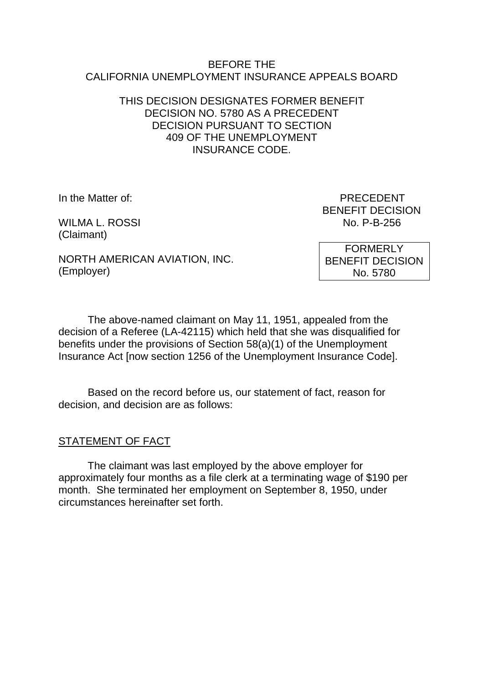#### BEFORE THE CALIFORNIA UNEMPLOYMENT INSURANCE APPEALS BOARD

### THIS DECISION DESIGNATES FORMER BENEFIT DECISION NO. 5780 AS A PRECEDENT DECISION PURSUANT TO SECTION 409 OF THE UNEMPLOYMENT INSURANCE CODE.

WILMA L. ROSSI (Claimant)

In the Matter of: PRECEDENT BENEFIT DECISION<br>No. P-B-256

NORTH AMERICAN AVIATION, INC. (Employer)

FORMERLY BENEFIT DECISION No. 5780

The above-named claimant on May 11, 1951, appealed from the decision of a Referee (LA-42115) which held that she was disqualified for benefits under the provisions of Section 58(a)(1) of the Unemployment Insurance Act [now section 1256 of the Unemployment Insurance Code].

Based on the record before us, our statement of fact, reason for decision, and decision are as follows:

# STATEMENT OF FACT

The claimant was last employed by the above employer for approximately four months as a file clerk at a terminating wage of \$190 per month. She terminated her employment on September 8, 1950, under circumstances hereinafter set forth.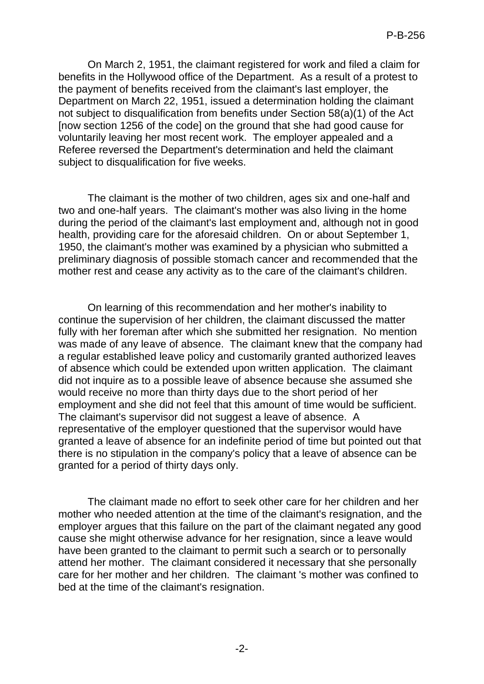On March 2, 1951, the claimant registered for work and filed a claim for benefits in the Hollywood office of the Department. As a result of a protest to the payment of benefits received from the claimant's last employer, the Department on March 22, 1951, issued a determination holding the claimant not subject to disqualification from benefits under Section 58(a)(1) of the Act [now section 1256 of the code] on the ground that she had good cause for voluntarily leaving her most recent work. The employer appealed and a Referee reversed the Department's determination and held the claimant subject to disqualification for five weeks.

The claimant is the mother of two children, ages six and one-half and two and one-half years. The claimant's mother was also living in the home during the period of the claimant's last employment and, although not in good health, providing care for the aforesaid children. On or about September 1, 1950, the claimant's mother was examined by a physician who submitted a preliminary diagnosis of possible stomach cancer and recommended that the mother rest and cease any activity as to the care of the claimant's children.

On learning of this recommendation and her mother's inability to continue the supervision of her children, the claimant discussed the matter fully with her foreman after which she submitted her resignation. No mention was made of any leave of absence. The claimant knew that the company had a regular established leave policy and customarily granted authorized leaves of absence which could be extended upon written application. The claimant did not inquire as to a possible leave of absence because she assumed she would receive no more than thirty days due to the short period of her employment and she did not feel that this amount of time would be sufficient. The claimant's supervisor did not suggest a leave of absence. A representative of the employer questioned that the supervisor would have granted a leave of absence for an indefinite period of time but pointed out that there is no stipulation in the company's policy that a leave of absence can be granted for a period of thirty days only.

The claimant made no effort to seek other care for her children and her mother who needed attention at the time of the claimant's resignation, and the employer argues that this failure on the part of the claimant negated any good cause she might otherwise advance for her resignation, since a leave would have been granted to the claimant to permit such a search or to personally attend her mother. The claimant considered it necessary that she personally care for her mother and her children. The claimant 's mother was confined to bed at the time of the claimant's resignation.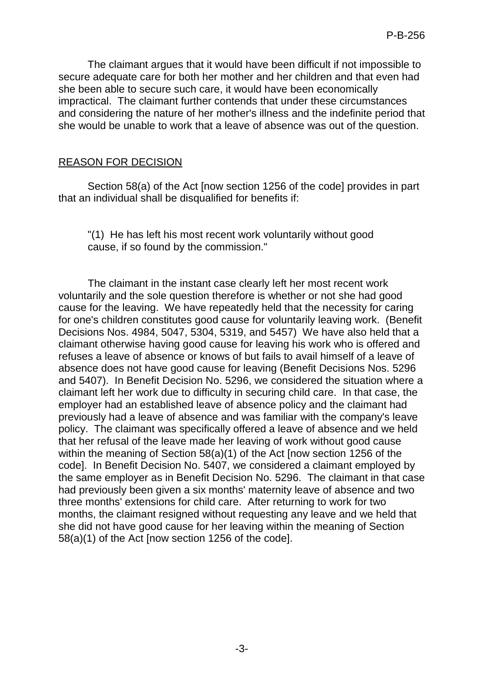The claimant argues that it would have been difficult if not impossible to secure adequate care for both her mother and her children and that even had she been able to secure such care, it would have been economically impractical. The claimant further contends that under these circumstances and considering the nature of her mother's illness and the indefinite period that she would be unable to work that a leave of absence was out of the question.

#### REASON FOR DECISION

Section 58(a) of the Act [now section 1256 of the code] provides in part that an individual shall be disqualified for benefits if:

"(1) He has left his most recent work voluntarily without good cause, if so found by the commission."

The claimant in the instant case clearly left her most recent work voluntarily and the sole question therefore is whether or not she had good cause for the leaving. We have repeatedly held that the necessity for caring for one's children constitutes good cause for voluntarily leaving work. (Benefit Decisions Nos. 4984, 5047, 5304, 5319, and 5457) We have also held that a claimant otherwise having good cause for leaving his work who is offered and refuses a leave of absence or knows of but fails to avail himself of a leave of absence does not have good cause for leaving (Benefit Decisions Nos. 5296 and 5407). In Benefit Decision No. 5296, we considered the situation where a claimant left her work due to difficulty in securing child care. In that case, the employer had an established leave of absence policy and the claimant had previously had a leave of absence and was familiar with the company's leave policy. The claimant was specifically offered a leave of absence and we held that her refusal of the leave made her leaving of work without good cause within the meaning of Section 58(a)(1) of the Act [now section 1256 of the code]. In Benefit Decision No. 5407, we considered a claimant employed by the same employer as in Benefit Decision No. 5296. The claimant in that case had previously been given a six months' maternity leave of absence and two three months' extensions for child care. After returning to work for two months, the claimant resigned without requesting any leave and we held that she did not have good cause for her leaving within the meaning of Section 58(a)(1) of the Act [now section 1256 of the code].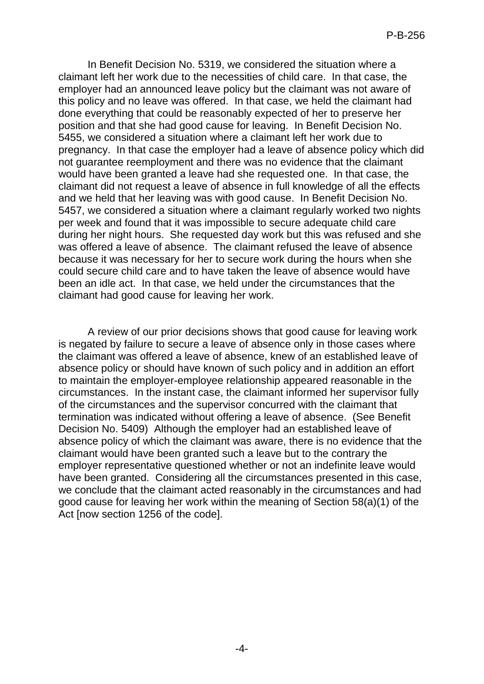In Benefit Decision No. 5319, we considered the situation where a claimant left her work due to the necessities of child care. In that case, the employer had an announced leave policy but the claimant was not aware of this policy and no leave was offered. In that case, we held the claimant had done everything that could be reasonably expected of her to preserve her position and that she had good cause for leaving. In Benefit Decision No. 5455, we considered a situation where a claimant left her work due to pregnancy. In that case the employer had a leave of absence policy which did not guarantee reemployment and there was no evidence that the claimant would have been granted a leave had she requested one. In that case, the claimant did not request a leave of absence in full knowledge of all the effects and we held that her leaving was with good cause. In Benefit Decision No. 5457, we considered a situation where a claimant regularly worked two nights per week and found that it was impossible to secure adequate child care during her night hours. She requested day work but this was refused and she was offered a leave of absence. The claimant refused the leave of absence because it was necessary for her to secure work during the hours when she could secure child care and to have taken the leave of absence would have been an idle act. In that case, we held under the circumstances that the claimant had good cause for leaving her work.

A review of our prior decisions shows that good cause for leaving work is negated by failure to secure a leave of absence only in those cases where the claimant was offered a leave of absence, knew of an established leave of absence policy or should have known of such policy and in addition an effort to maintain the employer-employee relationship appeared reasonable in the circumstances. In the instant case, the claimant informed her supervisor fully of the circumstances and the supervisor concurred with the claimant that termination was indicated without offering a leave of absence. (See Benefit Decision No. 5409) Although the employer had an established leave of absence policy of which the claimant was aware, there is no evidence that the claimant would have been granted such a leave but to the contrary the employer representative questioned whether or not an indefinite leave would have been granted. Considering all the circumstances presented in this case, we conclude that the claimant acted reasonably in the circumstances and had good cause for leaving her work within the meaning of Section 58(a)(1) of the Act [now section 1256 of the code].